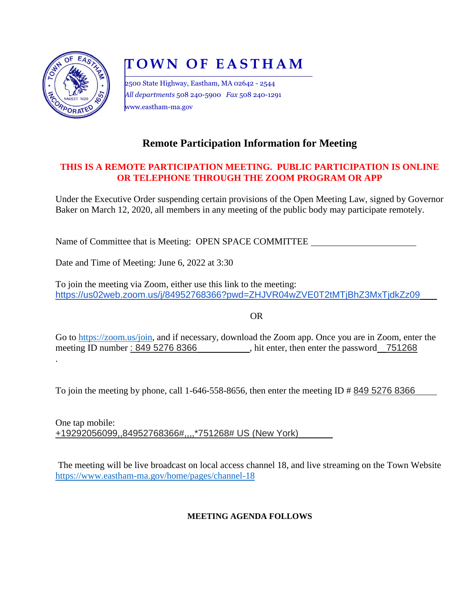

.

# **T O W N O F E A S T H A M**

2500 State Highway, Eastham, MA 02642 - 2544 *All departments* 508 240-5900 *Fax* 508 240-1291 www.eastham-ma.gov

## **Remote Participation Information for Meeting**

#### **THIS IS A REMOTE PARTICIPATION MEETING. PUBLIC PARTICIPATION IS ONLINE OR TELEPHONE THROUGH THE ZOOM PROGRAM OR APP**

Under the Executive Order suspending certain provisions of the Open Meeting Law, signed by Governor Baker on March 12, 2020, all members in any meeting of the public body may participate remotely.

Name of Committee that is Meeting: OPEN SPACE COMMITTEE

Date and Time of Meeting: June 6, 2022 at 3:30

To join the meeting via Zoom, either use this link to the meeting: https://us02web.zoom.us/j/84952768366?pwd=ZHJVR04wZVE0T2tMTjBhZ3MxTjdkZz09

OR

Go to [https://zoom.us/join,](https://zoom.us/join) and if necessary, download the Zoom app. Once you are in Zoom, enter the meeting ID number: 849 5276 8366 , hit enter, then enter the password 751268

To join the meeting by phone, call 1-646-558-8656, then enter the meeting ID # 849 5276 8366

One tap mobile: +19292056099,,84952768366#,,,,\*751268# US (New York)

The meeting will be live broadcast on local access channel 18, and live streaming on the Town Website <https://www.eastham-ma.gov/home/pages/channel-18>

#### **MEETING AGENDA FOLLOWS**